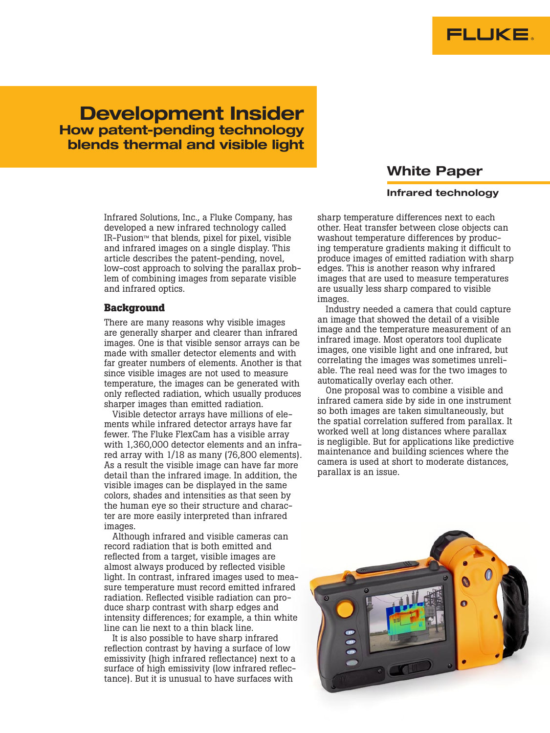

**Development Insider How patent-pending technology blends thermal and visible light** 

> Infrared Solutions, Inc., a Fluke Company, has developed a new infrared technology called IR-Fusion™ that blends, pixel for pixel, visible and infrared images on a single display. This article describes the patent-pending, novel, low-cost approach to solving the parallax problem of combining images from separate visible and infrared optics.

### **Background**

There are many reasons why visible images are generally sharper and clearer than infrared images. One is that visible sensor arrays can be made with smaller detector elements and with far greater numbers of elements. Another is that since visible images are not used to measure temperature, the images can be generated with only reflected radiation, which usually produces sharper images than emitted radiation.

Visible detector arrays have millions of elements while infrared detector arrays have far fewer. The Fluke FlexCam has a visible array with 1,360,000 detector elements and an infrared array with 1/18 as many (76,800 elements). As a result the visible image can have far more detail than the infrared image. In addition, the visible images can be displayed in the same colors, shades and intensities as that seen by the human eye so their structure and character are more easily interpreted than infrared images.

Although infrared and visible cameras can record radiation that is both emitted and reflected from a target, visible images are almost always produced by reflected visible light. In contrast, infrared images used to measure temperature must record emitted infrared radiation. Reflected visible radiation can produce sharp contrast with sharp edges and intensity differences; for example, a thin white line can lie next to a thin black line.

It is also possible to have sharp infrared reflection contrast by having a surface of low emissivity (high infrared reflectance) next to a surface of high emissivity (low infrared reflectance). But it is unusual to have surfaces with

## **White Paper**

### **Infrared technology**

sharp temperature differences next to each other. Heat transfer between close objects can washout temperature differences by producing temperature gradients making it difficult to produce images of emitted radiation with sharp edges. This is another reason why infrared images that are used to measure temperatures are usually less sharp compared to visible images.

Industry needed a camera that could capture an image that showed the detail of a visible image and the temperature measurement of an infrared image. Most operators tool duplicate images, one visible light and one infrared, but correlating the images was sometimes unreliable. The real need was for the two images to automatically overlay each other.

One proposal was to combine a visible and infrared camera side by side in one instrument so both images are taken simultaneously, but the spatial correlation suffered from parallax. It worked well at long distances where parallax is negligible. But for applications like predictive maintenance and building sciences where the camera is used at short to moderate distances, parallax is an issue.

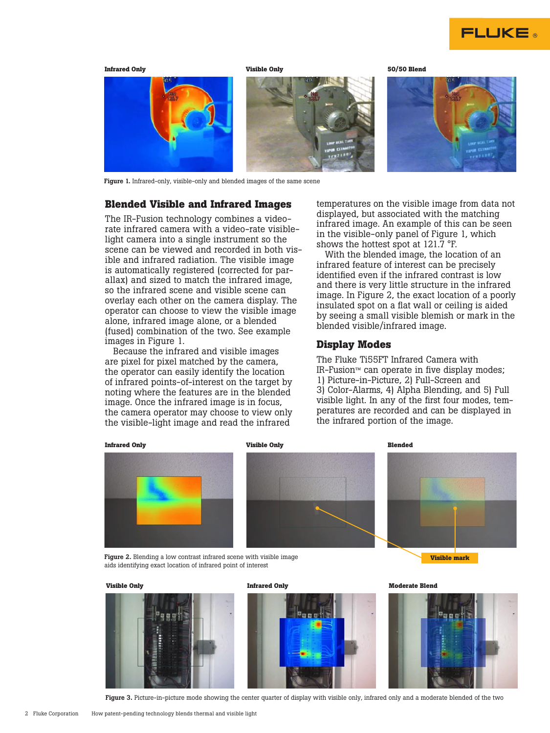# FLUKE.



Figure 1. Infrared-only, visible-only and blended images of the same scene

### **Blended Visible and Infrared Images**

The IR-Fusion technology combines a videorate infrared camera with a video-rate visiblelight camera into a single instrument so the scene can be viewed and recorded in both visible and infrared radiation. The visible image is automatically registered (corrected for parallax) and sized to match the infrared image, so the infrared scene and visible scene can overlay each other on the camera display. The operator can choose to view the visible image alone, infrared image alone, or a blended (fused) combination of the two. See example images in Figure 1.

Because the infrared and visible images are pixel for pixel matched by the camera, the operator can easily identify the location of infrared points-of-interest on the target by noting where the features are in the blended image. Once the infrared image is in focus, the camera operator may choose to view only the visible-light image and read the infrared

temperatures on the visible image from data not displayed, but associated with the matching infrared image. An example of this can be seen in the visible-only panel of Figure 1, which shows the hottest spot at 121.7 °F.

With the blended image, the location of an infrared feature of interest can be precisely identified even if the infrared contrast is low and there is very little structure in the infrared image. In Figure 2, the exact location of a poorly insulated spot on a flat wall or ceiling is aided by seeing a small visible blemish or mark in the blended visible/infrared image.

### **Display Modes**

The Fluke Ti55FT Infrared Camera with IR-Fusion™ can operate in five display modes; 1) Picture-in-Picture, 2) Full-Screen and 3) Color-Alarms, 4) Alpha Blending, and 5) Full visible light. In any of the first four modes, temperatures are recorded and can be displayed in the infrared portion of the image.





Figure 3. Picture-in-picture mode showing the center quarter of display with visible only, infrared only and a moderate blended of the two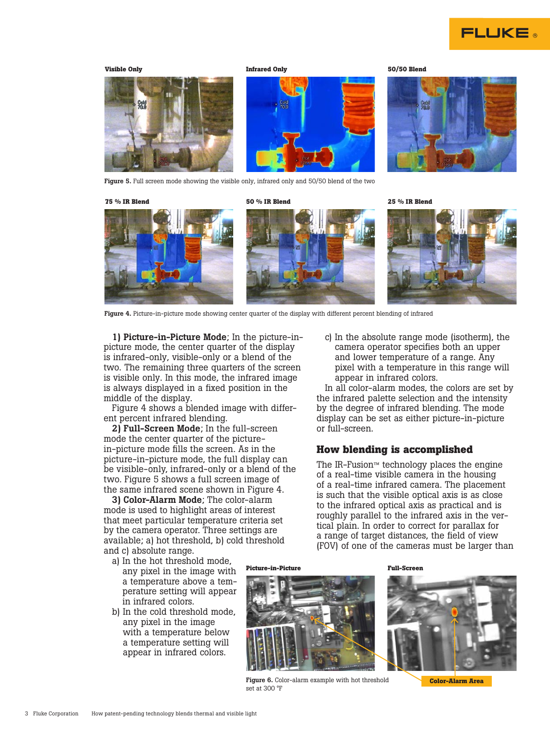

**Visible Only Infrared Only 50/50 Blend**

Figure 5. Full screen mode showing the visible only, infrared only and 50/50 blend of the two

**75 % IR Blend 50 % IR Blend 25 % IR Blend**



Figure 4. Picture-in-picture mode showing center quarter of the display with different percent blending of infrared

1) Picture-in-Picture Mode; In the picture-inpicture mode, the center quarter of the display is infrared-only, visible-only or a blend of the two. The remaining three quarters of the screen is visible only. In this mode, the infrared image is always displayed in a fixed position in the middle of the display.

Figure 4 shows a blended image with different percent infrared blending.

2) Full-Screen Mode; In the full-screen mode the center quarter of the picturein-picture mode fills the screen. As in the picture-in-picture mode, the full display can be visible-only, infrared-only or a blend of the two. Figure 5 shows a full screen image of the same infrared scene shown in Figure 4.

3) Color-Alarm Mode; The color-alarm mode is used to highlight areas of interest that meet particular temperature criteria set by the camera operator. Three settings are available; a) hot threshold, b) cold threshold and c) absolute range.

camera operator specifies both an upper and lower temperature of a range. Any pixel with a temperature in this range will appear in infrared colors. In all color-alarm modes, the colors are set by

c) In the absolute range mode (isotherm), the

the infrared palette selection and the intensity by the degree of infrared blending. The mode display can be set as either picture-in-picture or full-screen.

### **How blending is accomplished**

The IR-Fusion™ technology places the engine of a real-time visible camera in the housing of a real-time infrared camera. The placement is such that the visible optical axis is as close to the infrared optical axis as practical and is roughly parallel to the infrared axis in the vertical plain. In order to correct for parallax for a range of target distances, the field of view (FOV) of one of the cameras must be larger than

- a) In the hot threshold mode, any pixel in the image with a temperature above a temperature setting will appear in infrared colors.
- b) In the cold threshold mode, any pixel in the image with a temperature below a temperature setting will appear in infrared colors.

**Picture-in-Picture Full-Screen** 





**Color-Alarm Area**

Figure 6. Color-alarm example with hot threshold set at 300 °F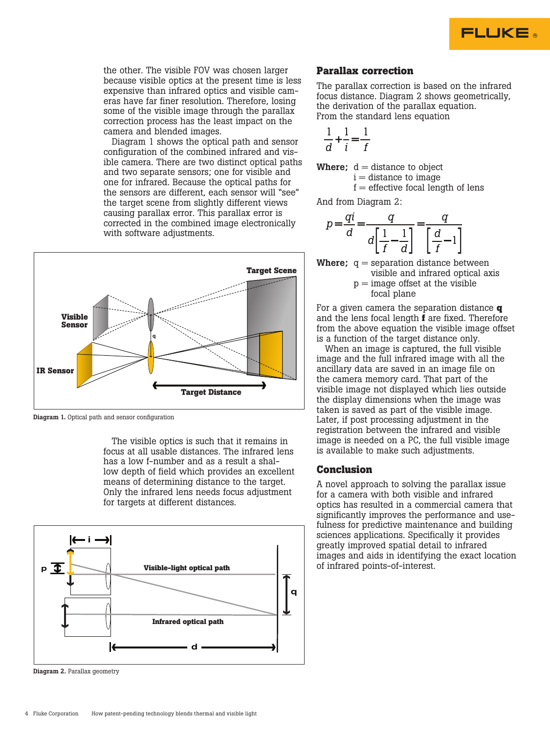

the other. The visible FOV was chosen larger because visible optics at the present time is less expensive than infrared optics and visible cameras have far finer resolution. Therefore, losing some of the visible image through the parallax correction process has the least impact on the camera and blended images.

Diagram 1 shows the optical path and sensor configuration of the combined infrared and visible camera. There are two distinct optical paths and two separate sensors; one for visible and one for infrared. Because the optical paths for the sensors are different, each sensor will "see" the target scene from slightly different views causing parallax error. This parallax error is corrected in the combined image electronically with software adjustments.



Diagram 1. Optical path and sensor configuration

The visible optics is such that it remains in focus at all usable distances. The infrared lens has a low f-number and as a result a shallow depth of field which provides an excellent means of determining distance to the target. Only the infrared lens needs focus adjustment for targets at different distances.



Diagram 2. Parallax geometry

### **Parallax correction**

The parallax correction is based on the infrared focus distance. Diagram 2 shows geometrically, the derivation of the parallax equation. From the standard lens equation

$$
\frac{1}{d} + \frac{1}{i} = \frac{1}{f}
$$

**Where;**  $d = distance to object$  $i =$  distance to image  $f =$  effective focal length of lens

And from Diagram 2:<br>*qi q* 

$$
p = \frac{qi}{d} = \frac{q}{d\left[\frac{1}{f} - \frac{1}{d}\right]} = \frac{q}{\left[\frac{d}{f} - 1\right]}
$$

**Where;**  $q =$  separation distance between visible and infrared optical axis  $p = image$  offset at the visible focal plane

For a given camera the separation distance **q** and the lens focal length **f** are fixed. Therefore from the above equation the visible image offset is a function of the target distance only.

When an image is captured, the full visible image and the full infrared image with all the ancillary data are saved in an image file on the camera memory card. That part of the visible image not displayed which lies outside the display dimensions when the image was taken is saved as part of the visible image. Later, if post processing adjustment in the registration between the infrared and visible image is needed on a PC, the full visible image is available to make such adjustments.

### **Conclusion**

A novel approach to solving the parallax issue for a camera with both visible and infrared optics has resulted in a commercial camera that significantly improves the performance and usefulness for predictive maintenance and building sciences applications. Specifically it provides greatly improved spatial detail to infrared images and aids in identifying the exact location of infrared points-of-interest.